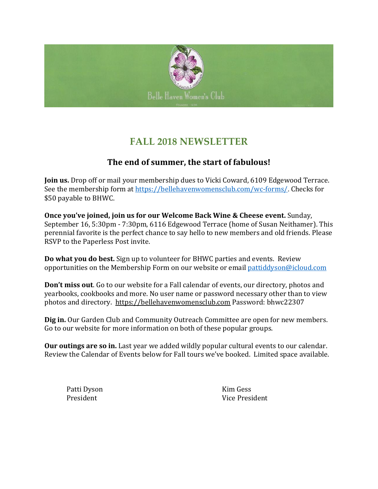

## **FALL 2018 NEWSLETTER**

#### **The end of summer, the start of fabulous!**

**Join us.** Drop off or mail your membership dues to Vicki Coward, 6109 Edgewood Terrace. See the membership form at<https://bellehavenwomensclub.com/wc-forms/>. Checks for \$50 payable to BHWC.

**Once you've joined, join us for our Welcome Back Wine & Cheese event.** Sunday, September 16, 5:30pm - 7:30pm, 6116 Edgewood Terrace (home of Susan Neithamer). This perennial favorite is the perfect chance to say hello to new members and old friends. Please RSVP to the Paperless Post invite.

**Do what you do best.** Sign up to volunteer for BHWC parties and events. Review opportunities on the Membership Form on our website or email [pattiddyson@icloud.com](mailto:pattiddyson@icloud.com)

**Don't miss out**. Go to our website for a Fall calendar of events, our directory, photos and yearbooks, cookbooks and more. No user name or password necessary other than to view photos and directory. [https://bellehavenwomensclub.com](https://bellehavenwomensclub.com/) Password: bhwc22307

**Dig in.** Our Garden Club and Community Outreach Committee are open for new members. Go to our website for more information on both of these popular groups.

**Our outings are so in.** Last year we added wildly popular cultural events to our calendar. Review the Calendar of Events below for Fall tours we've booked. Limited space available.

Patti Dyson Kim Gess

President Vice President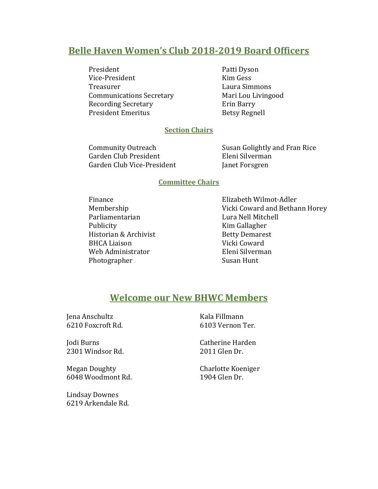#### **Belle Haven Women's Club 2018-2019 Board Officers**

President Patti Dyson Vice-President Kim Gess Treasurer Laura Simmons Communications Secretary Mari Lou Livingood Recording Secretary **Example 2** Erin Barry President Emeritus Betsy Regnell

#### **Section Chairs**

Garden Club President Eleni Silverman Garden Club Vice-President Janet Forsgren

Community Outreach Susan Golightly and Fran Rice

#### **Committee Chairs**

Parliamentarian Lura Nell Mitchell Publicity **Kim Gallagher** Historian & Archivist Betty Demarest BHCA Liaison Vicki Coward Web Administrator Eleni Silverman Photographer Susan Hunt

Finance Elizabeth Wilmot-Adler Membership Vicki Coward and Bethann Horey

#### **Welcome our New BHWC Members**

Jena Anschultz Kala Fillmann

Jodi Burns Catherine Harden 2301 Windsor Rd. 2011 Glen Dr.

Megan Doughty Charlotte Koeniger 6048 Woodmont Rd. 1904 Glen Dr.

Lindsay Downes 6219 Arkendale Rd.

6210 Foxcroft Rd. 6103 Vernon Ter.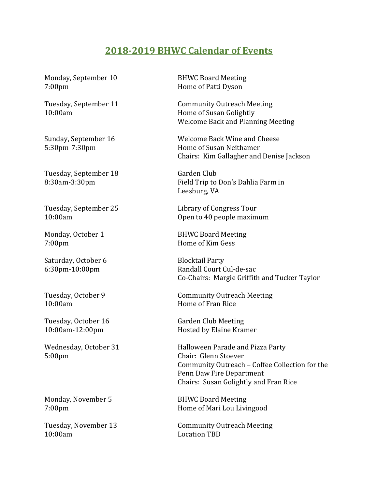#### **2018-2019 BHWC Calendar of Events**

Monday, September 10 BHWC Board Meeting 7:00pm Home of Patti Dyson

Tuesday, September 18 Garden Club

7:00pm Home of Kim Gess

Saturday, October 6 Blocktail Party

10:00am Home of Fran Rice

5:00pm Chair: Glenn Stoever

Monday, November 5 BHWC Board Meeting

10:00am Location TBD

Tuesday, September 11 Community Outreach Meeting 10:00am Home of Susan Golightly Welcome Back and Planning Meeting

Sunday, September 16 Welcome Back Wine and Cheese 5:30pm-7:30pm Home of Susan Neithamer Chairs: Kim Gallagher and Denise Jackson

8:30am-3:30pm Field Trip to Don's Dahlia Farm in Leesburg, VA

Tuesday, September 25 Library of Congress Tour 10:00am Open to 40 people maximum

Monday, October 1 BHWC Board Meeting

6:30pm-10:00pm Randall Court Cul-de-sac Co-Chairs: Margie Griffith and Tucker Taylor

Tuesday, October 9 Community Outreach Meeting

Tuesday, October 16 Garden Club Meeting 10:00am-12:00pm Hosted by Elaine Kramer

Wednesday, October 31 Halloween Parade and Pizza Party Community Outreach – Coffee Collection for the Penn Daw Fire Department Chairs: Susan Golightly and Fran Rice

7:00pm Home of Mari Lou Livingood

Tuesday, November 13 Community Outreach Meeting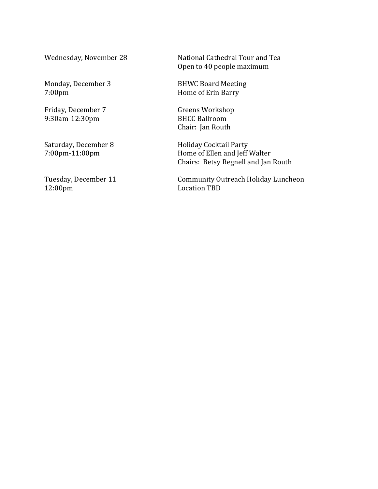Monday, December 3 BHWC Board Meeting<br>7:00pm Home of Erin Barry

Friday, December 7 Greens Workshop 9:30am-12:30pm BHCC Ballroom

Wednesday, November 28 National Cathedral Tour and Tea Open to 40 people maximum

Home of Erin Barry

Chair: Jan Routh

Saturday, December 8 Holiday Cocktail Party<br>7:00pm-11:00pm Home of Ellen and Jeff Home of Ellen and Jeff Walter Chairs: Betsy Regnell and Jan Routh

Tuesday, December 11 Community Outreach Holiday Luncheon<br>12:00pm Location TBD Location TBD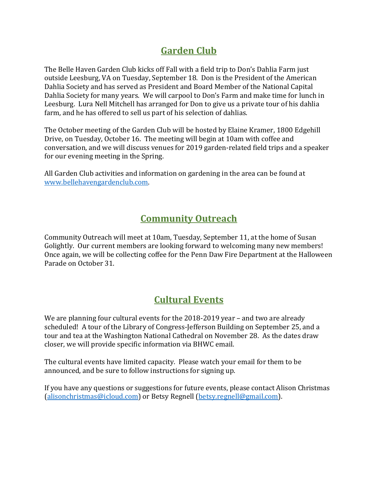# **Garden Club**

The Belle Haven Garden Club kicks off Fall with a field trip to Don's Dahlia Farm just outside Leesburg, VA on Tuesday, September 18. Don is the President of the American Dahlia Society and has served as President and Board Member of the National Capital Dahlia Society for many years. We will carpool to Don's Farm and make time for lunch in Leesburg. Lura Nell Mitchell has arranged for Don to give us a private tour of his dahlia farm, and he has offered to sell us part of his selection of dahlias.

The October meeting of the Garden Club will be hosted by Elaine Kramer, 1800 Edgehill Drive, on Tuesday, October 16. The meeting will begin at 10am with coffee and conversation, and we will discuss venues for 2019 garden-related field trips and a speaker for our evening meeting in the Spring.

All Garden Club activities and information on gardening in the area can be found at [www.bellehavengardenclub.com.](http://www.bellehavengardenclub.com/)

### **Community Outreach**

Community Outreach will meet at 10am, Tuesday, September 11, at the home of Susan Golightly. Our current members are looking forward to welcoming many new members! Once again, we will be collecting coffee for the Penn Daw Fire Department at the Halloween Parade on October 31.

# **Cultural Events**

We are planning four cultural events for the 2018-2019 year – and two are already scheduled! A tour of the Library of Congress-Jefferson Building on September 25, and a tour and tea at the Washington National Cathedral on November 28. As the dates draw closer, we will provide specific information via BHWC email.

The cultural events have limited capacity. Please watch your email for them to be announced, and be sure to follow instructions for signing up.

If you have any questions or suggestions for future events, please contact Alison Christmas [\(alisonchristmas@icloud.com\)](mailto:alisonchristmas@icloud.com) or Betsy Regnell [\(betsy.regnell@gmail.com\)](mailto:betsy.regnell@gmail.com).